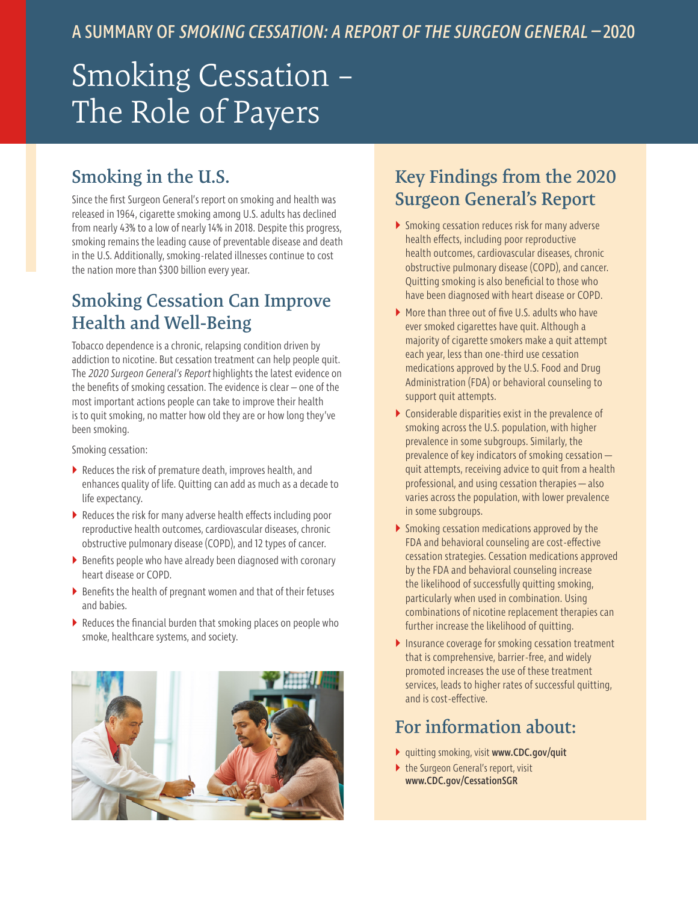# Smoking Cessation – The Role of Payers

# **Smoking in the U.S.**

Since the first Surgeon General's report on smoking and health was released in 1964, cigarette smoking among U.S. adults has declined from nearly 43% to a low of nearly 14% in 2018. Despite this progress, smoking remains the leading cause of preventable disease and death in the U.S. Additionally, smoking-related illnesses continue to cost the nation more than \$300 billion every year.

#### **Smoking Cessation Can Improve Health and Well-Being**

Tobacco dependence is a chronic, relapsing condition driven by addiction to nicotine. But cessation treatment can help people quit. The 2020 Surgeon General's Report highlights the latest evidence on the benefits of smoking cessation. The evidence is clear – one of the most important actions people can take to improve their health is to quit smoking, no matter how old they are or how long they've been smoking.

Smoking cessation:

- $\blacktriangleright$  Reduces the risk of premature death, improves health, and enhances quality of life. Quitting can add as much as a decade to life expectancy.
- $\triangleright$  Reduces the risk for many adverse health effects including poor reproductive health outcomes, cardiovascular diseases, chronic obstructive pulmonary disease (COPD), and 12 types of cancer.
- $\triangleright$  Benefits people who have already been diagnosed with coronary heart disease or COPD.
- $\triangleright$  Benefits the health of pregnant women and that of their fetuses and babies.
- $\blacktriangleright$  Reduces the financial burden that smoking places on people who smoke, healthcare systems, and society.



#### **Key Findings from the 2020 Surgeon General's Report**

- ` Smoking cessation reduces risk for many adverse health effects, including poor reproductive health outcomes, cardiovascular diseases, chronic obstructive pulmonary disease (COPD), and cancer. Quitting smoking is also beneficial to those who have been diagnosed with heart disease or COPD.
- ▶ More than three out of five U.S. adults who have ever smoked cigarettes have quit. Although a majority of cigarette smokers make a quit attempt each year, less than one-third use cessation medications approved by the U.S. Food and Drug Administration (FDA) or behavioral counseling to support quit attempts.
- $\triangleright$  Considerable disparities exist in the prevalence of smoking across the U.S. population, with higher prevalence in some subgroups. Similarly, the prevalence of key indicators of smoking cessation quit attempts, receiving advice to quit from a health professional, and using cessation therapies—also varies across the population, with lower prevalence in some subgroups.
- $\triangleright$  Smoking cessation medications approved by the FDA and behavioral counseling are cost-effective cessation strategies. Cessation medications approved by the FDA and behavioral counseling increase the likelihood of successfully quitting smoking, particularly when used in combination. Using combinations of nicotine replacement therapies can further increase the likelihood of quitting.
- Insurance coverage for smoking cessation treatment that is comprehensive, barrier-free, and widely promoted increases the use of these treatment services, leads to higher rates of successful quitting, and is cost-effective.

#### **For information about:**

- ` quitting smoking, visit [www.CDC.gov/quit](http://www.CDC.gov/quit)
- $\triangleright$  the Surgeon General's report, visit [www.CDC.gov/CessationSGR](http://www.CDC.gov/CessationSGR)